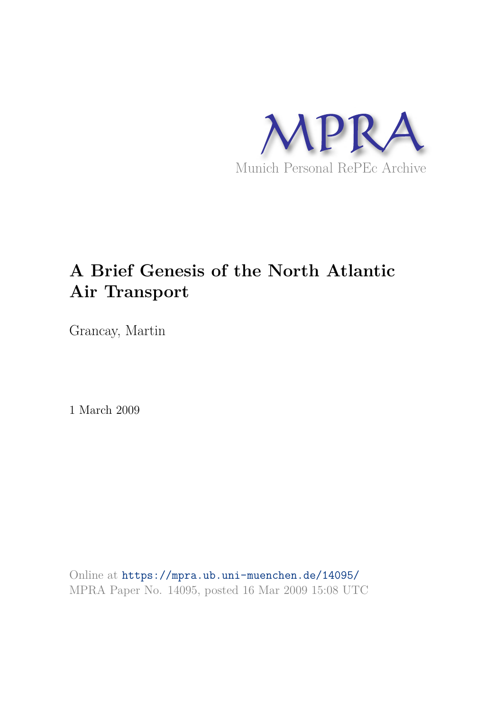

# **A Brief Genesis of the North Atlantic Air Transport**

Grancay, Martin

1 March 2009

Online at https://mpra.ub.uni-muenchen.de/14095/ MPRA Paper No. 14095, posted 16 Mar 2009 15:08 UTC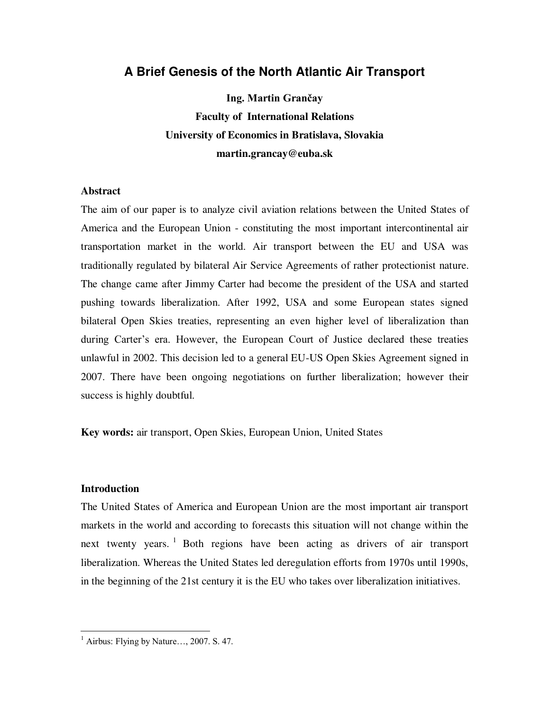# **A Brief Genesis of the North Atlantic Air Transport**

**Ing. Martin Grančay Faculty of International Relations University of Economics in Bratislava, Slovakia martin.grancay@euba.sk** 

#### **Abstract**

The aim of our paper is to analyze civil aviation relations between the United States of America and the European Union - constituting the most important intercontinental air transportation market in the world. Air transport between the EU and USA was traditionally regulated by bilateral Air Service Agreements of rather protectionist nature. The change came after Jimmy Carter had become the president of the USA and started pushing towards liberalization. After 1992, USA and some European states signed bilateral Open Skies treaties, representing an even higher level of liberalization than during Carter's era. However, the European Court of Justice declared these treaties unlawful in 2002. This decision led to a general EU-US Open Skies Agreement signed in 2007. There have been ongoing negotiations on further liberalization; however their success is highly doubtful.

**Key words:** air transport, Open Skies, European Union, United States

## **Introduction**

 $\overline{a}$ 

The United States of America and European Union are the most important air transport markets in the world and according to forecasts this situation will not change within the next twenty years. <sup>1</sup> Both regions have been acting as drivers of air transport liberalization. Whereas the United States led deregulation efforts from 1970s until 1990s, in the beginning of the 21st century it is the EU who takes over liberalization initiatives.

 $<sup>1</sup>$  Airbus: Flying by Nature..., 2007. S. 47.</sup>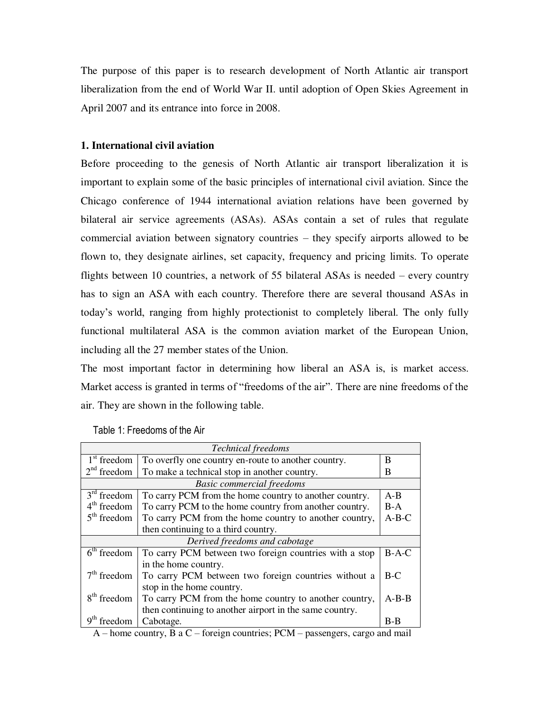The purpose of this paper is to research development of North Atlantic air transport liberalization from the end of World War II. until adoption of Open Skies Agreement in April 2007 and its entrance into force in 2008.

# **1. International civil aviation**

Before proceeding to the genesis of North Atlantic air transport liberalization it is important to explain some of the basic principles of international civil aviation. Since the Chicago conference of 1944 international aviation relations have been governed by bilateral air service agreements (ASAs). ASAs contain a set of rules that regulate commercial aviation between signatory countries – they specify airports allowed to be flown to, they designate airlines, set capacity, frequency and pricing limits. To operate flights between 10 countries, a network of 55 bilateral ASAs is needed – every country has to sign an ASA with each country. Therefore there are several thousand ASAs in today"s world, ranging from highly protectionist to completely liberal. The only fully functional multilateral ASA is the common aviation market of the European Union, including all the 27 member states of the Union.

The most important factor in determining how liberal an ASA is, is market access. Market access is granted in terms of "freedoms of the air". There are nine freedoms of the air. They are shown in the following table.

| <b>Technical</b> freedoms        |                                                         |         |  |  |
|----------------------------------|---------------------------------------------------------|---------|--|--|
| $1st$ freedom                    | To overfly one country en-route to another country.     | B       |  |  |
| $2nd$ freedom                    | To make a technical stop in another country.            | B       |  |  |
| <b>Basic commercial freedoms</b> |                                                         |         |  |  |
| $3rd$ freedom                    | To carry PCM from the home country to another country.  | $A - B$ |  |  |
| $4th$ freedom                    | To carry PCM to the home country from another country.  | $B-A$   |  |  |
| $5th$ freedom                    | To carry PCM from the home country to another country,  | $A-B-C$ |  |  |
|                                  | then continuing to a third country.                     |         |  |  |
| Derived freedoms and cabotage    |                                                         |         |  |  |
| $6th$ freedom                    | To carry PCM between two foreign countries with a stop  | $B-A-C$ |  |  |
|                                  | in the home country.                                    |         |  |  |
| $7th$ freedom                    | To carry PCM between two foreign countries without a    | $B-C$   |  |  |
|                                  | stop in the home country.                               |         |  |  |
| $8th$ freedom                    | To carry PCM from the home country to another country,  | $A-B-B$ |  |  |
|                                  | then continuing to another airport in the same country. |         |  |  |
| freedom                          | Cabotage.                                               | $B-B$   |  |  |

#### Table 1: Freedoms of the Air

A – home country, B a C – foreign countries; PCM – passengers, cargo and mail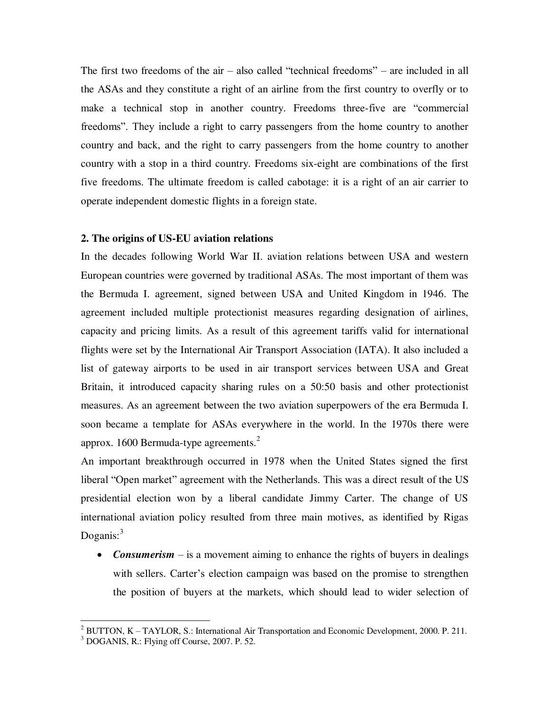The first two freedoms of the air – also called "technical freedoms" – are included in all the ASAs and they constitute a right of an airline from the first country to overfly or to make a technical stop in another country. Freedoms three-five are "commercial freedoms". They include a right to carry passengers from the home country to another country and back, and the right to carry passengers from the home country to another country with a stop in a third country. Freedoms six-eight are combinations of the first five freedoms. The ultimate freedom is called cabotage: it is a right of an air carrier to operate independent domestic flights in a foreign state.

#### **2. The origins of US-EU aviation relations**

In the decades following World War II. aviation relations between USA and western European countries were governed by traditional ASAs. The most important of them was the Bermuda I. agreement, signed between USA and United Kingdom in 1946. The agreement included multiple protectionist measures regarding designation of airlines, capacity and pricing limits. As a result of this agreement tariffs valid for international flights were set by the International Air Transport Association (IATA). It also included a list of gateway airports to be used in air transport services between USA and Great Britain, it introduced capacity sharing rules on a 50:50 basis and other protectionist measures. As an agreement between the two aviation superpowers of the era Bermuda I. soon became a template for ASAs everywhere in the world. In the 1970s there were approx. 1600 Bermuda-type agreements. $<sup>2</sup>$ </sup>

An important breakthrough occurred in 1978 when the United States signed the first liberal "Open market" agreement with the Netherlands. This was a direct result of the US presidential election won by a liberal candidate Jimmy Carter. The change of US international aviation policy resulted from three main motives, as identified by Rigas Doganis: $3\overline{3}$ 

• *Consumerism* – is a movement aiming to enhance the rights of buyers in dealings with sellers. Carter's election campaign was based on the promise to strengthen the position of buyers at the markets, which should lead to wider selection of

 2 BUTTON, K – TAYLOR, S.: International Air Transportation and Economic Development, 2000. P. 211.

<sup>&</sup>lt;sup>3</sup> DOGANIS, R.: Flying off Course, 2007. P. 52.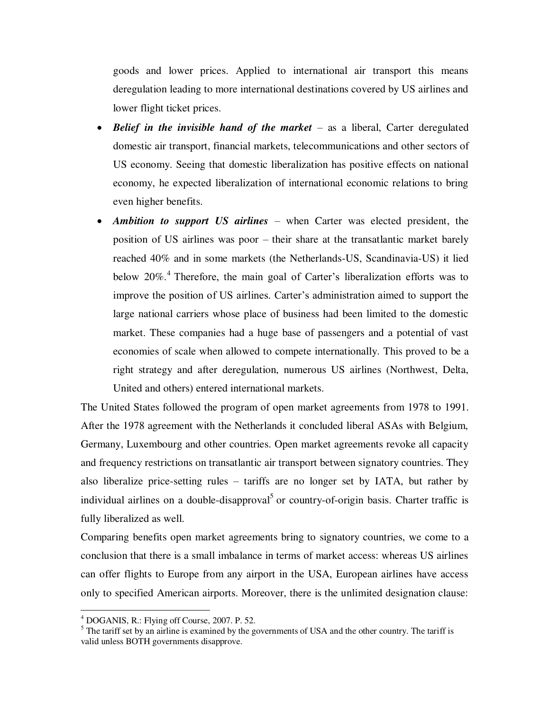goods and lower prices. Applied to international air transport this means deregulation leading to more international destinations covered by US airlines and lower flight ticket prices.

- Belief in the *invisible hand of the market* as a liberal, Carter deregulated domestic air transport, financial markets, telecommunications and other sectors of US economy. Seeing that domestic liberalization has positive effects on national economy, he expected liberalization of international economic relations to bring even higher benefits.
- *Ambition to support US airlines*  when Carter was elected president, the position of US airlines was poor – their share at the transatlantic market barely reached 40% and in some markets (the Netherlands-US, Scandinavia-US) it lied below 20%.<sup>4</sup> Therefore, the main goal of Carter's liberalization efforts was to improve the position of US airlines. Carter"s administration aimed to support the large national carriers whose place of business had been limited to the domestic market. These companies had a huge base of passengers and a potential of vast economies of scale when allowed to compete internationally. This proved to be a right strategy and after deregulation, numerous US airlines (Northwest, Delta, United and others) entered international markets.

The United States followed the program of open market agreements from 1978 to 1991. After the 1978 agreement with the Netherlands it concluded liberal ASAs with Belgium, Germany, Luxembourg and other countries. Open market agreements revoke all capacity and frequency restrictions on transatlantic air transport between signatory countries. They also liberalize price-setting rules – tariffs are no longer set by IATA, but rather by individual airlines on a double-disapproval<sup>5</sup> or country-of-origin basis. Charter traffic is fully liberalized as well.

Comparing benefits open market agreements bring to signatory countries, we come to a conclusion that there is a small imbalance in terms of market access: whereas US airlines can offer flights to Europe from any airport in the USA, European airlines have access only to specified American airports. Moreover, there is the unlimited designation clause:

<sup>4</sup> DOGANIS, R.: Flying off Course, 2007. P. 52.

 $<sup>5</sup>$  The tariff set by an airline is examined by the governments of USA and the other country. The tariff is</sup> valid unless BOTH governments disapprove.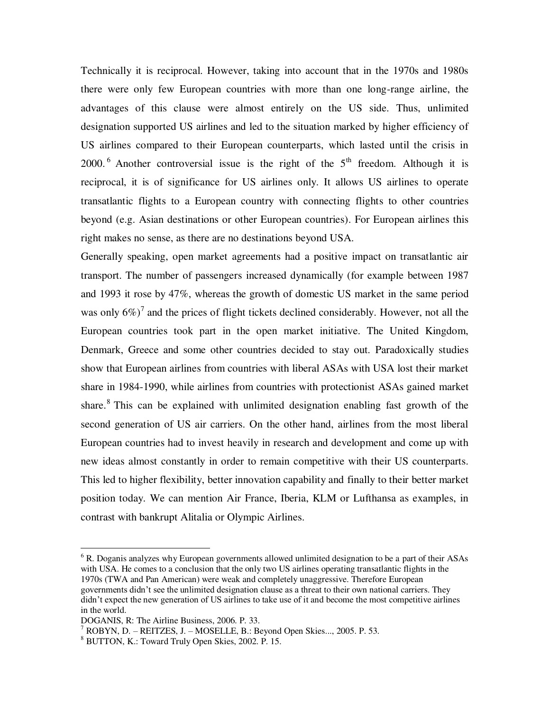Technically it is reciprocal. However, taking into account that in the 1970s and 1980s there were only few European countries with more than one long-range airline, the advantages of this clause were almost entirely on the US side. Thus, unlimited designation supported US airlines and led to the situation marked by higher efficiency of US airlines compared to their European counterparts, which lasted until the crisis in 2000.<sup>6</sup> Another controversial issue is the right of the  $5<sup>th</sup>$  freedom. Although it is reciprocal, it is of significance for US airlines only. It allows US airlines to operate transatlantic flights to a European country with connecting flights to other countries beyond (e.g. Asian destinations or other European countries). For European airlines this right makes no sense, as there are no destinations beyond USA.

Generally speaking, open market agreements had a positive impact on transatlantic air transport. The number of passengers increased dynamically (for example between 1987 and 1993 it rose by 47%, whereas the growth of domestic US market in the same period was only  $6\%$ )<sup>7</sup> and the prices of flight tickets declined considerably. However, not all the European countries took part in the open market initiative. The United Kingdom, Denmark, Greece and some other countries decided to stay out. Paradoxically studies show that European airlines from countries with liberal ASAs with USA lost their market share in 1984-1990, while airlines from countries with protectionist ASAs gained market share.<sup>8</sup> This can be explained with unlimited designation enabling fast growth of the second generation of US air carriers. On the other hand, airlines from the most liberal European countries had to invest heavily in research and development and come up with new ideas almost constantly in order to remain competitive with their US counterparts. This led to higher flexibility, better innovation capability and finally to their better market position today. We can mention Air France, Iberia, KLM or Lufthansa as examples, in contrast with bankrupt Alitalia or Olympic Airlines.

<sup>&</sup>lt;sup>6</sup> R. Doganis analyzes why European governments allowed unlimited designation to be a part of their ASAs with USA. He comes to a conclusion that the only two US airlines operating transatlantic flights in the 1970s (TWA and Pan American) were weak and completely unaggressive. Therefore European governments didn"t see the unlimited designation clause as a threat to their own national carriers. They didn"t expect the new generation of US airlines to take use of it and become the most competitive airlines in the world.

DOGANIS, R: The Airline Business, 2006. P. 33.

<sup>7</sup> ROBYN, D. – REITZES, J. – MOSELLE, B.: Beyond Open Skies..., 2005. P. 53.

<sup>8</sup> BUTTON, K.: Toward Truly Open Skies, 2002. P. 15.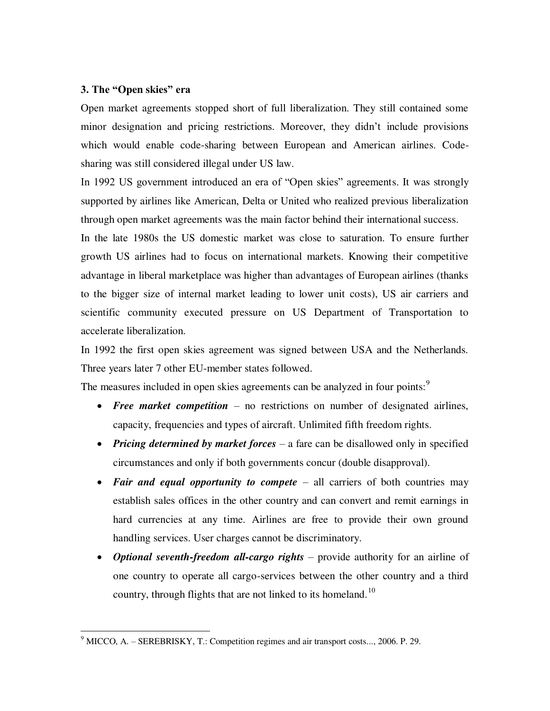# **3. The "Open skies" era**

 $\overline{a}$ 

Open market agreements stopped short of full liberalization. They still contained some minor designation and pricing restrictions. Moreover, they didn"t include provisions which would enable code-sharing between European and American airlines. Codesharing was still considered illegal under US law.

In 1992 US government introduced an era of "Open skies" agreements. It was strongly supported by airlines like American, Delta or United who realized previous liberalization through open market agreements was the main factor behind their international success.

In the late 1980s the US domestic market was close to saturation. To ensure further growth US airlines had to focus on international markets. Knowing their competitive advantage in liberal marketplace was higher than advantages of European airlines (thanks to the bigger size of internal market leading to lower unit costs), US air carriers and scientific community executed pressure on US Department of Transportation to accelerate liberalization.

In 1992 the first open skies agreement was signed between USA and the Netherlands. Three years later 7 other EU-member states followed.

The measures included in open skies agreements can be analyzed in four points:<sup>9</sup>

- *Free market competition*  no restrictions on number of designated airlines, capacity, frequencies and types of aircraft. Unlimited fifth freedom rights.
- *Pricing determined by market forces*  a fare can be disallowed only in specified circumstances and only if both governments concur (double disapproval).
- *Fair and equal opportunity to compete*  all carriers of both countries may establish sales offices in the other country and can convert and remit earnings in hard currencies at any time. Airlines are free to provide their own ground handling services. User charges cannot be discriminatory.
- *Optional seventh-freedom all-cargo rights* provide authority for an airline of one country to operate all cargo-services between the other country and a third country, through flights that are not linked to its homeland.<sup>10</sup>

 $9 \text{ MICCO, A.} - \text{SEREBRISKY, T.:}$  Competition regimes and air transport costs..., 2006. P. 29.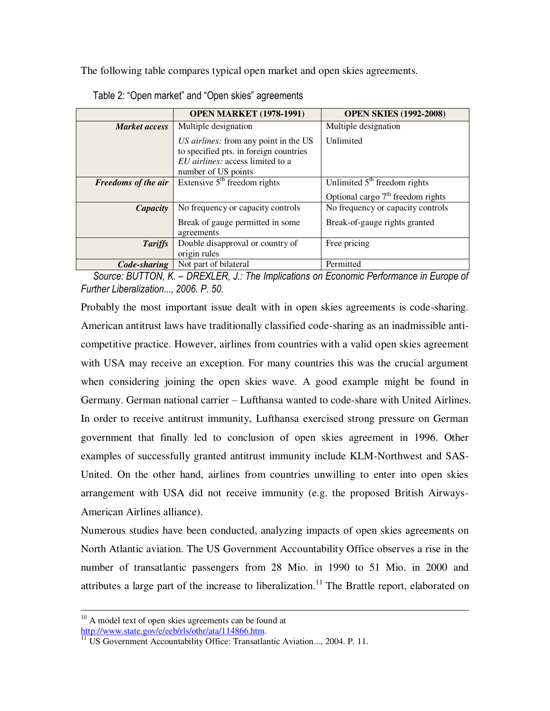The following table compares typical open market and open skies agreements.

|                            | <b>OPEN MARKET (1978-1991)</b>                                                                                                             | <b>OPEN SKIES (1992-2008)</b>       |
|----------------------------|--------------------------------------------------------------------------------------------------------------------------------------------|-------------------------------------|
| <b>Market access</b>       | Multiple designation                                                                                                                       | Multiple designation                |
|                            | US airlines: from any point in the US<br>to specified pts. in foreign countries<br>EU airlines: access limited to a<br>number of US points | Unlimited                           |
| <b>Freedoms of the air</b> | Extensive $5th$ freedom rights                                                                                                             | Unlimited $5th$ freedom rights      |
|                            |                                                                                                                                            | Optional cargo $7th$ freedom rights |
| Capacity                   | No frequency or capacity controls                                                                                                          | No frequency or capacity controls   |
|                            | Break of gauge permitted in some<br>agreements                                                                                             | Break-of-gauge rights granted       |
| <b>Tariffs</b>             | Double disapproval or country of<br>origin rules                                                                                           | Free pricing                        |
| Code-sharing               | Not part of bilateral                                                                                                                      | Permitted                           |

Table 2: "Open market" and "Open skies" agreements

*Source: BUTTON, K. – DREXLER, J.: The Implications on Economic Performance in Europe of Further Liberalization..., 2006. P. 50.* 

Probably the most important issue dealt with in open skies agreements is code-sharing. American antitrust laws have traditionally classified code-sharing as an inadmissible anticompetitive practice. However, airlines from countries with a valid open skies agreement with USA may receive an exception. For many countries this was the crucial argument when considering joining the open skies wave. A good example might be found in Germany. German national carrier – Lufthansa wanted to code-share with United Airlines. In order to receive antitrust immunity, Lufthansa exercised strong pressure on German government that finally led to conclusion of open skies agreement in 1996. Other examples of successfully granted antitrust immunity include KLM-Northwest and SAS-United. On the other hand, airlines from countries unwilling to enter into open skies arrangement with USA did not receive immunity (e.g. the proposed British Airways-American Airlines alliance).

Numerous studies have been conducted, analyzing impacts of open skies agreements on North Atlantic aviation. The US Government Accountability Office observes a rise in the number of transatlantic passengers from 28 Mio. in 1990 to 51 Mio. in 2000 and attributes a large part of the increase to liberalization.<sup>11</sup> The Brattle report, elaborated on

<sup>&</sup>lt;sup>10</sup> A model text of open skies agreements can be found at [http://www.state.gov/e/eeb/rls/othr/ata/114866.htm.](http://www.state.gov/e/eeb/rls/othr/ata/114866.htm)

<sup>&</sup>lt;sup>11</sup> US Government Accountability Office: Transatlantic Aviation..., 2004. P. 11.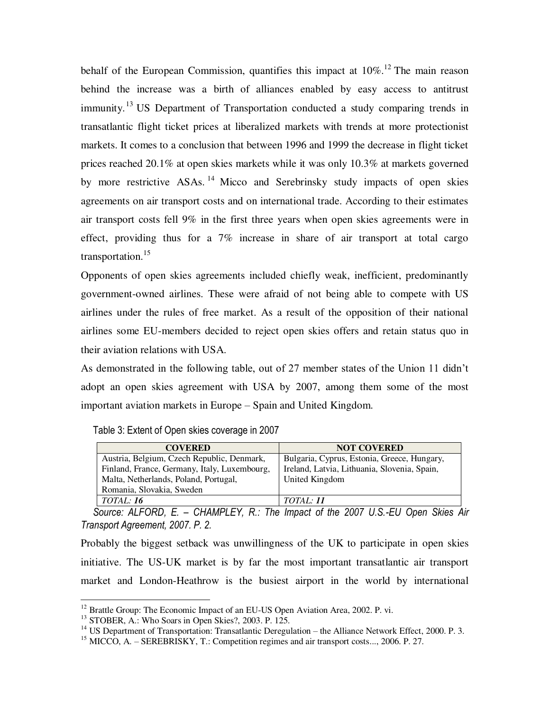behalf of the European Commission, quantifies this impact at  $10\%$ .<sup>12</sup> The main reason behind the increase was a birth of alliances enabled by easy access to antitrust immunity.<sup>13</sup> US Department of Transportation conducted a study comparing trends in transatlantic flight ticket prices at liberalized markets with trends at more protectionist markets. It comes to a conclusion that between 1996 and 1999 the decrease in flight ticket prices reached 20.1% at open skies markets while it was only 10.3% at markets governed by more restrictive ASAs.<sup>14</sup> Micco and Serebrinsky study impacts of open skies agreements on air transport costs and on international trade. According to their estimates air transport costs fell 9% in the first three years when open skies agreements were in effect, providing thus for a 7% increase in share of air transport at total cargo transportation.<sup>15</sup>

Opponents of open skies agreements included chiefly weak, inefficient, predominantly government-owned airlines. These were afraid of not being able to compete with US airlines under the rules of free market. As a result of the opposition of their national airlines some EU-members decided to reject open skies offers and retain status quo in their aviation relations with USA.

As demonstrated in the following table, out of 27 member states of the Union 11 didn"t adopt an open skies agreement with USA by 2007, among them some of the most important aviation markets in Europe – Spain and United Kingdom.

Table 3: Extent of Open skies coverage in 2007

| <b>COVERED</b>                               | <b>NOT COVERED</b>                           |
|----------------------------------------------|----------------------------------------------|
| Austria, Belgium, Czech Republic, Denmark,   | Bulgaria, Cyprus, Estonia, Greece, Hungary,  |
| Finland, France, Germany, Italy, Luxembourg, | Ireland, Latvia, Lithuania, Slovenia, Spain, |
| Malta, Netherlands, Poland, Portugal,        | United Kingdom                               |
| Romania, Slovakia, Sweden                    |                                              |
| <i>TOTAL:</i> 16                             | <i>TOTAL: 11</i>                             |

*Source: ALFORD, E. – CHAMPLEY, R.: The Impact of the 2007 U.S.-EU Open Skies Air Transport Agreement, 2007. P. 2.* 

Probably the biggest setback was unwillingness of the UK to participate in open skies initiative. The US-UK market is by far the most important transatlantic air transport market and London-Heathrow is the busiest airport in the world by international

<sup>&</sup>lt;sup>12</sup> Brattle Group: The Economic Impact of an EU-US Open Aviation Area, 2002. P. vi.

<sup>13</sup> STOBER, A.: Who Soars in Open Skies?, 2003. P. 125.

<sup>&</sup>lt;sup>14</sup> US Department of Transportation: Transatlantic Deregulation – the Alliance Network Effect, 2000. P. 3.

<sup>&</sup>lt;sup>15</sup> MICCO, A. – SEREBRISKY, T.: Competition regimes and air transport costs..., 2006. P. 27.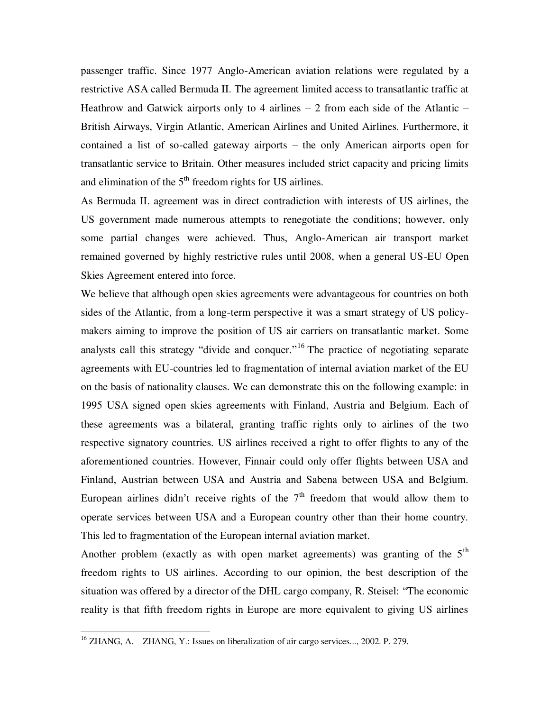passenger traffic. Since 1977 Anglo-American aviation relations were regulated by a restrictive ASA called Bermuda II. The agreement limited access to transatlantic traffic at Heathrow and Gatwick airports only to 4 airlines  $-2$  from each side of the Atlantic  $-$ British Airways, Virgin Atlantic, American Airlines and United Airlines. Furthermore, it contained a list of so-called gateway airports – the only American airports open for transatlantic service to Britain. Other measures included strict capacity and pricing limits and elimination of the  $5<sup>th</sup>$  freedom rights for US airlines.

As Bermuda II. agreement was in direct contradiction with interests of US airlines, the US government made numerous attempts to renegotiate the conditions; however, only some partial changes were achieved. Thus, Anglo-American air transport market remained governed by highly restrictive rules until 2008, when a general US-EU Open Skies Agreement entered into force.

We believe that although open skies agreements were advantageous for countries on both sides of the Atlantic, from a long-term perspective it was a smart strategy of US policymakers aiming to improve the position of US air carriers on transatlantic market. Some analysts call this strategy "divide and conquer."<sup>16</sup> The practice of negotiating separate agreements with EU-countries led to fragmentation of internal aviation market of the EU on the basis of nationality clauses. We can demonstrate this on the following example: in 1995 USA signed open skies agreements with Finland, Austria and Belgium. Each of these agreements was a bilateral, granting traffic rights only to airlines of the two respective signatory countries. US airlines received a right to offer flights to any of the aforementioned countries. However, Finnair could only offer flights between USA and Finland, Austrian between USA and Austria and Sabena between USA and Belgium. European airlines didn't receive rights of the  $7<sup>th</sup>$  freedom that would allow them to operate services between USA and a European country other than their home country. This led to fragmentation of the European internal aviation market.

Another problem (exactly as with open market agreements) was granting of the  $5<sup>th</sup>$ freedom rights to US airlines. According to our opinion, the best description of the situation was offered by a director of the DHL cargo company, R. Steisel: "The economic reality is that fifth freedom rights in Europe are more equivalent to giving US airlines

 $^{16}$  ZHANG, A. – ZHANG, Y.: Issues on liberalization of air cargo services..., 2002. P. 279.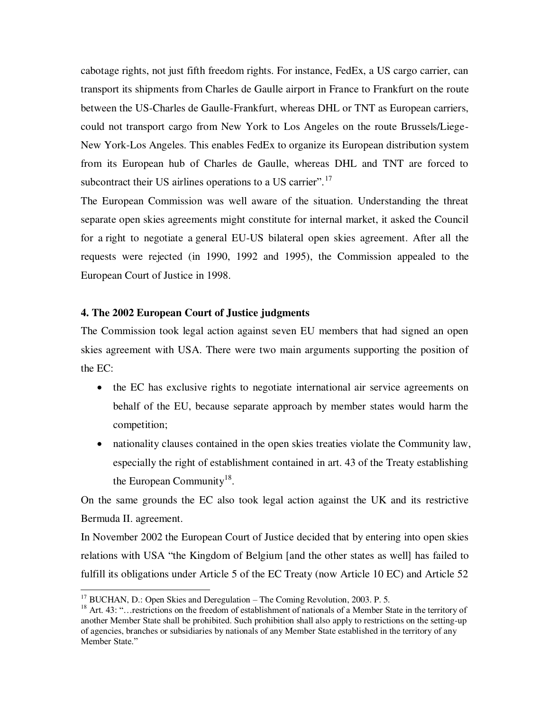cabotage rights, not just fifth freedom rights. For instance, FedEx, a US cargo carrier, can transport its shipments from Charles de Gaulle airport in France to Frankfurt on the route between the US-Charles de Gaulle-Frankfurt, whereas DHL or TNT as European carriers, could not transport cargo from New York to Los Angeles on the route Brussels/Liege-New York-Los Angeles. This enables FedEx to organize its European distribution system from its European hub of Charles de Gaulle, whereas DHL and TNT are forced to subcontract their US airlines operations to a US carrier".<sup>17</sup>

The European Commission was well aware of the situation. Understanding the threat separate open skies agreements might constitute for internal market, it asked the Council for a right to negotiate a general EU-US bilateral open skies agreement. After all the requests were rejected (in 1990, 1992 and 1995), the Commission appealed to the European Court of Justice in 1998.

### **4. The 2002 European Court of Justice judgments**

The Commission took legal action against seven EU members that had signed an open skies agreement with USA. There were two main arguments supporting the position of the EC:

- the EC has exclusive rights to negotiate international air service agreements on behalf of the EU, because separate approach by member states would harm the competition;
- nationality clauses contained in the open skies treaties violate the Community law, especially the right of establishment contained in art. 43 of the Treaty establishing the European Community<sup>18</sup>.

On the same grounds the EC also took legal action against the UK and its restrictive Bermuda II. agreement.

In November 2002 the European Court of Justice decided that by entering into open skies relations with USA "the Kingdom of Belgium [and the other states as well] has failed to fulfill its obligations under Article 5 of the EC Treaty (now Article 10 EC) and Article 52

 $17$  BUCHAN, D.: Open Skies and Deregulation – The Coming Revolution, 2003. P. 5.

<sup>&</sup>lt;sup>18</sup> Art. 43: "…restrictions on the freedom of establishment of nationals of a Member State in the territory of another Member State shall be prohibited. Such prohibition shall also apply to restrictions on the setting-up of agencies, branches or subsidiaries by nationals of any Member State established in the territory of any Member State."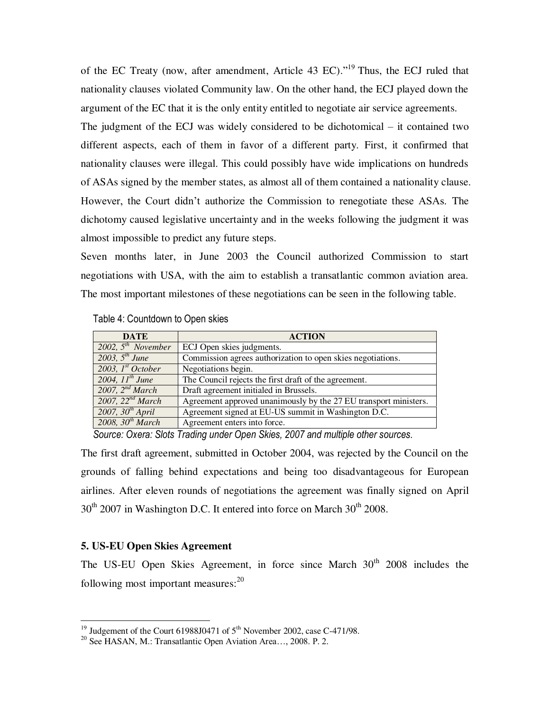of the EC Treaty (now, after amendment, Article 43 EC)."<sup>19</sup> Thus, the ECJ ruled that nationality clauses violated Community law. On the other hand, the ECJ played down the argument of the EC that it is the only entity entitled to negotiate air service agreements.

The judgment of the ECJ was widely considered to be dichotomical – it contained two different aspects, each of them in favor of a different party. First, it confirmed that nationality clauses were illegal. This could possibly have wide implications on hundreds of ASAs signed by the member states, as almost all of them contained a nationality clause. However, the Court didn"t authorize the Commission to renegotiate these ASAs. The dichotomy caused legislative uncertainty and in the weeks following the judgment it was almost impossible to predict any future steps.

Seven months later, in June 2003 the Council authorized Commission to start negotiations with USA, with the aim to establish a transatlantic common aviation area. The most important milestones of these negotiations can be seen in the following table.

| <b>DATE</b>             | <b>ACTION</b>                                                    |
|-------------------------|------------------------------------------------------------------|
| 2002, $5^{th}$ November | ECJ Open skies judgments.                                        |
| 2003, $5^{th}$ June     | Commission agrees authorization to open skies negotiations.      |
| 2003, $Ist October$     | Negotiations begin.                                              |
| 2004, $11^{th}$ June    | The Council rejects the first draft of the agreement.            |
| 2007, $2^{nd}$ March    | Draft agreement initialed in Brussels.                           |
| 2007, $22^{nd}$ March   | Agreement approved unanimously by the 27 EU transport ministers. |
| 2007, $30^{th}$ April   | Agreement signed at EU-US summit in Washington D.C.              |
| 2008, $30^{th}$ March   | Agreement enters into force.                                     |

Table 4: Countdown to Open skies

*Source: Oxera: Slots Trading under Open Skies, 2007 and multiple other sources.* 

The first draft agreement, submitted in October 2004, was rejected by the Council on the grounds of falling behind expectations and being too disadvantageous for European airlines. After eleven rounds of negotiations the agreement was finally signed on April  $30<sup>th</sup>$  2007 in Washington D.C. It entered into force on March  $30<sup>th</sup>$  2008.

#### **5. US-EU Open Skies Agreement**

 $\overline{a}$ 

The US-EU Open Skies Agreement, in force since March 30<sup>th</sup> 2008 includes the following most important measures:<sup>20</sup>

<sup>&</sup>lt;sup>19</sup> Judgement of the Court 61988J0471 of  $5<sup>th</sup>$  November 2002, case C-471/98.

<sup>20</sup> See HASAN, M.: Transatlantic Open Aviation Area…, 2008. P. 2.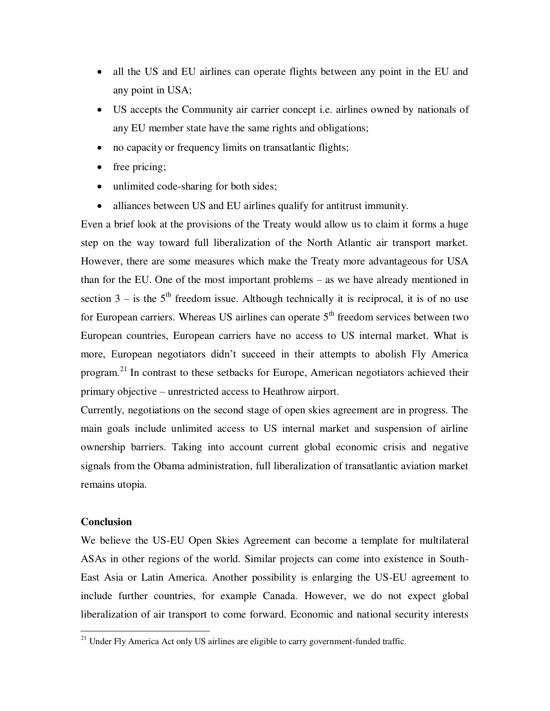- all the US and EU airlines can operate flights between any point in the EU and any point in USA;
- US accepts the Community air carrier concept i.e. airlines owned by nationals of any EU member state have the same rights and obligations;
- no capacity or frequency limits on transatlantic flights;
- free pricing;
- unlimited code-sharing for both sides;
- alliances between US and EU airlines qualify for antitrust immunity.

Even a brief look at the provisions of the Treaty would allow us to claim it forms a huge step on the way toward full liberalization of the North Atlantic air transport market. However, there are some measures which make the Treaty more advantageous for USA than for the EU. One of the most important problems – as we have already mentioned in section  $3 -$  is the  $5<sup>th</sup>$  freedom issue. Although technically it is reciprocal, it is of no use for European carriers. Whereas US airlines can operate  $5<sup>th</sup>$  freedom services between two European countries, European carriers have no access to US internal market. What is more, European negotiators didn"t succeed in their attempts to abolish Fly America program.<sup>21</sup> In contrast to these setbacks for Europe, American negotiators achieved their primary objective – unrestricted access to Heathrow airport.

Currently, negotiations on the second stage of open skies agreement are in progress. The main goals include unlimited access to US internal market and suspension of airline ownership barriers. Taking into account current global economic crisis and negative signals from the Obama administration, full liberalization of transatlantic aviation market remains utopia.

#### **Conclusion**

 $\overline{a}$ 

We believe the US-EU Open Skies Agreement can become a template for multilateral ASAs in other regions of the world. Similar projects can come into existence in South-East Asia or Latin America. Another possibility is enlarging the US-EU agreement to include further countries, for example Canada. However, we do not expect global liberalization of air transport to come forward. Economic and national security interests

 $21$  Under Fly America Act only US airlines are eligible to carry government-funded traffic.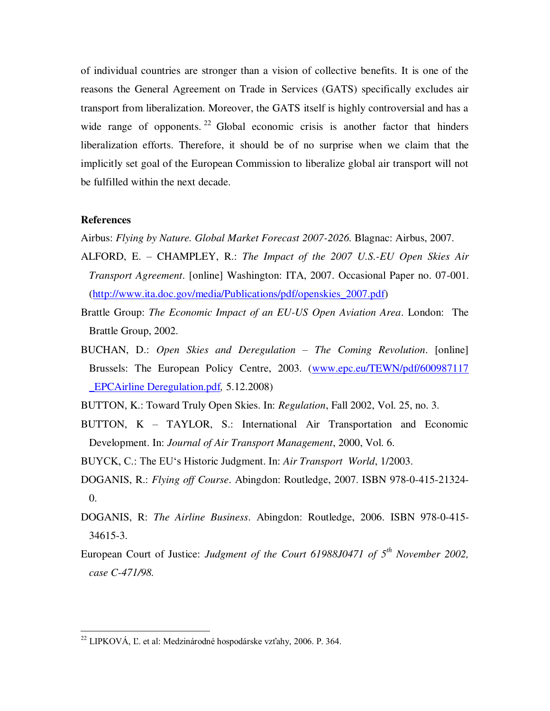of individual countries are stronger than a vision of collective benefits. It is one of the reasons the General Agreement on Trade in Services (GATS) specifically excludes air transport from liberalization. Moreover, the GATS itself is highly controversial and has a wide range of opponents. <sup>22</sup> Global economic crisis is another factor that hinders liberalization efforts. Therefore, it should be of no surprise when we claim that the implicitly set goal of the European Commission to liberalize global air transport will not be fulfilled within the next decade.

#### **References**

 $\overline{a}$ 

Airbus: *Flying by Nature. Global Market Forecast 2007-2026.* Blagnac: Airbus, 2007.

- ALFORD, E. CHAMPLEY, R.: *The Impact of the 2007 U.S.-EU Open Skies Air Transport Agreement*. [online] Washington: ITA, 2007. Occasional Paper no. 07-001. [\(http://www.ita.doc.gov/media/Publications/pdf/openskies\\_2007.pdf\)](http://www.ita.doc.gov/media/Publications/pdf/openskies_2007.pdf)
- Brattle Group: *The Economic Impact of an EU-US Open Aviation Area*. London: The Brattle Group, 2002.
- BUCHAN, D.: *Open Skies and Deregulation – The Coming Revolution*. [online] Brussels: The European Policy Centre, 2003. [\(www.epc.eu/TEWN/pdf/600987117](http://www.epc.eu/TEWN/pdf/600987117%20_EPCAirline%20Deregulation.pdf)  [\\_EPCAirline Deregulation.pdf](http://www.epc.eu/TEWN/pdf/600987117%20_EPCAirline%20Deregulation.pdf)*,* 5.12.2008)
- BUTTON, K.: Toward Truly Open Skies. In: *Regulation*, Fall 2002, Vol. 25, no. 3.
- BUTTON, K TAYLOR, S.: International Air Transportation and Economic Development. In: *Journal of Air Transport Management*, 2000, Vol. 6.
- BUYCK, C.: The EU"s Historic Judgment. In: *Air Transport World*, 1/2003.
- DOGANIS, R.: *Flying off Course*. Abingdon: Routledge, 2007. ISBN 978-0-415-21324- 0.
- DOGANIS, R: *The Airline Business*. Abingdon: Routledge, 2006. ISBN 978-0-415- 34615-3.
- European Court of Justice: *Judgment of the Court 61988J0471 of 5th November 2002, case C-471/98.*

 $^{22}$  LIPKOVÁ, Ľ. et al: Medzinárodné hospodárske vzťahy, 2006. P. 364.